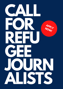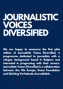# **JOURNALISTIC VOICES DIVERSIFIED**

**We are happy to announce the first pilot edition of Journalistic Voices Diversified, a programme dedicated to journalists with a refugee background based in Belgium and interested in progressing with their careers. Journalistic Voices Diversified is a collaboration between Are We Europe, Evens Foundation and Stichting Verhalende Journalistiek.**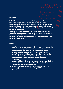#### **CONTEXT**

**With this project we aim to support refugee and exiled journalists to resume, progress or re-address their careers in Europe. Displaced journalists frequently enter Europe with a remarkable range of skills but they experience exclusion from employment circuits, cultural barriers and an overall impossibility to advance in their professional path.**

**With this programme we aspire to create an environment that could offer participants the opportunity to pursue their career in Europe through a temporary traineeship placement and mentoring. A specific focus will be put on narrative practises and immersive storytelling.**

#### **OFFER**

- **We offer a four-month part-time (2,5 days a week) traineeship at Are We Europe, during which the participants will resume their profession, acquire skills and produce new content. Trainees will receive an allowance of 800€ per month.**
- **A set of workshops will be created in collaboration with the Stichting Verhalende Journalistiek with the purpose of supporting participants to develop their storytelling techniques.**
- **Trainees will benefit from networking opportunities and will be associated with mentors who will help them cultivate their potential and direct their aspirations.**
- **All participants will attend the True Stories conference on narrative journalism scheduled in May 2022 in the Netherlands.**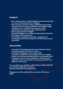# **ELIGIBILITY**

- **Have refugee status or refugee background and enjoy the right to receive a financial allowance in Belgium.**
- **Have previous experience and/or qualification in journalism and media. We encourage candidates from all fields to apply including: writers, multimedia and video journalists, photographers, graphic journalists and cartoonists.**
- **Have a good command of English.**
- **Be based in Belgium or be willing to independently relocate for the duration of the programme.**
- **Be available to engage in traineeship, workshops and mentorship sessions planned between mid-February and mid-June 2022.**

## **APPLICATIONS**

- **A complete CV including education and employment history and contact details of at least one referee.**
- **A portfolio including past work samples (with translations/subtitles if in any language other than English)**
- **A pitch in any format describing why you are interested in this programme, what are your expectations, which topics you would like to focus on during the traineeship and which news skills you wish to learn.**

**You can submit your candidacy until 7 February 2022, 23:59 CET by emailing all application material to federica.mantoan@evensfoundation.be**

**All applicants will be notified of the outcome by 20 February 2022.**